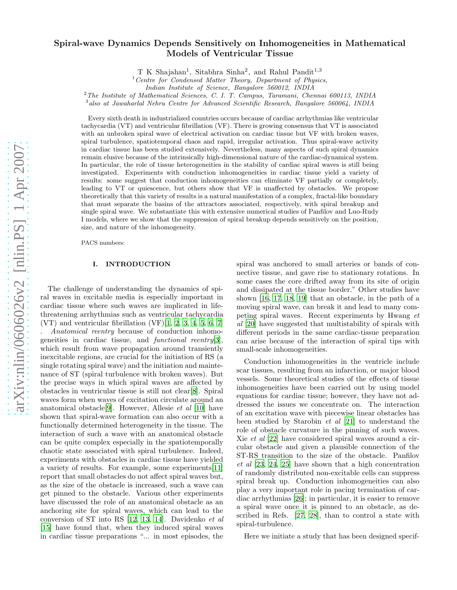# arXiv:nlin/0606026v2 [nlin.PS] 1 Apr 2007 [arXiv:nlin/0606026v2 \[nlin.PS\] 1 Apr 2007](http://arxiv.org/abs/nlin/0606026v2)

# Spiral-wave Dynamics Depends Sensitively on Inhomogeneities in Mathematical Models of Ventricular Tissue

T K Shajahan<sup>1</sup>, Sitabhra Sinha<sup>2</sup>, and Rahul Pandit<sup>1,3</sup>

 $1$  Centre for Condensed Matter Theory, Department of Physics,

<sup>2</sup>The Institute of Mathematical Sciences, C. I. T. Campus, Taramani, Chennai 600113, INDIA

<sup>3</sup>also at Jawaharlal Nehru Centre for Advanced Scientific Research, Bangalore 560064, INDIA

Every sixth death in industrialized countries occurs because of cardiac arrhythmias like ventricular tachycardia (VT) and ventricular fibrillation (VF). There is growing consensus that VT is associated with an unbroken spiral wave of electrical activation on cardiac tissue but VF with broken waves, spiral turbulence, spatiotemporal chaos and rapid, irregular activation. Thus spiral-wave activity in cardiac tissue has been studied extensively. Nevertheless, many aspects of such spiral dynamics remain elusive because of the intrinsically high-dimensional nature of the cardiac-dynamical system. In particular, the role of tissue heterogeneities in the stability of cardiac spiral waves is still being investigated. Experiments with conduction inhomogeneities in cardiac tissue yield a variety of results: some suggest that conduction inhomogeneities can eliminate VF partially or completely, leading to VT or quiescence, but others show that VF is unaffected by obstacles. We propose theoretically that this variety of results is a natural manifestation of a complex, fractal-like boundary that must separate the basins of the attractors associated, respectively, with spiral breakup and single spiral wave. We substantiate this with extensive numerical studies of Panfilov and Luo-Rudy I models, where we show that the suppression of spiral breakup depends sensitively on the position, size, and nature of the inhomogeneity.

PACS numbers:

# I. INTRODUCTION

The challenge of understanding the dynamics of spiral waves in excitable media is especially important in cardiac tissue where such waves are implicated in lifethreatening arrhythmias such as ventricular tachycardia  $(VT)$  and ventricular fibrillation  $(VF)[1, 2, 3, 4, 5, 6, 7]$  $(VF)[1, 2, 3, 4, 5, 6, 7]$  $(VF)[1, 2, 3, 4, 5, 6, 7]$  $(VF)[1, 2, 3, 4, 5, 6, 7]$  $(VF)[1, 2, 3, 4, 5, 6, 7]$  $(VF)[1, 2, 3, 4, 5, 6, 7]$  $(VF)[1, 2, 3, 4, 5, 6, 7]$  $(VF)[1, 2, 3, 4, 5, 6, 7]$  $(VF)[1, 2, 3, 4, 5, 6, 7]$  $(VF)[1, 2, 3, 4, 5, 6, 7]$  $(VF)[1, 2, 3, 4, 5, 6, 7]$ . Anatomical reentry because of conduction inhomogeneities in cardiac tissue, and functional reentry[\[3\]](#page-8-2), which result from wave propagation around transiently inexcitable regions, are crucial for the initiation of RS (a single rotating spiral wave) and the initiation and maintenance of ST (spiral turbulence with broken waves). But the precise ways in which spiral waves are affected by obstacles in ventricular tissue is still not clear[\[8\]](#page-8-7). Spiral waves form when waves of excitation circulate around an anatomical obstacle<sup>[\[9](#page-8-8)]</sup>. However, Allesie *et al* [\[10\]](#page-8-9) have shown that spiral-wave formation can also occur with a functionally determined heterogeneity in the tissue. The interaction of such a wave with an anatomical obstacle can be quite complex especially in the spatiotemporally chaotic state associated with spiral turbulence. Indeed, experiments with obstacles in cardiac tissue have yielded a variety of results. For example, some experiments[\[11\]](#page-8-10) report that small obstacles do not affect spiral waves but, as the size of the obstacle is increased, such a wave can get pinned to the obstacle. Various other experiments have discussed the role of an anatomical obstacle as an anchoring site for spiral waves, which can lead to the conversion of ST into RS [\[12,](#page-8-11) [13](#page-8-12), [14](#page-8-13)]. Davidenko et al [\[15\]](#page-8-14) have found that, when they induced spiral waves in cardiac tissue preparations "... in most episodes, the

spiral was anchored to small arteries or bands of connective tissue, and gave rise to stationary rotations. In some cases the core drifted away from its site of origin and dissipated at the tissue border." Other studies have shown [\[16](#page-8-15), [17,](#page-8-16) [18,](#page-8-17) [19](#page-8-18)] that an obstacle, in the path of a moving spiral wave, can break it and lead to many competing spiral waves. Recent experiments by Hwang et al [\[20\]](#page-8-19) have suggested that multistability of spirals with different periods in the same cardiac-tissue preparation can arise because of the interaction of spiral tips with small-scale inhomogeneities.

Conduction inhomogeneities in the ventricle include scar tissues, resulting from an infarction, or major blood vessels. Some theoretical studies of the effects of tissue inhomogeneities have been carried out by using model equations for cardiac tissue; however, they have not addressed the issues we concentrate on. The interaction of an excitation wave with piecewise linear obstacles has been studied by Starobin et al [\[21\]](#page-8-20) to understand the role of obstacle curvature in the pinning of such waves. Xie et al [\[22\]](#page-8-21) have considered spiral waves around a circular obstacle and given a plausible connection of the ST-RS transition to the size of the obstacle. Panfilov et al [\[23,](#page-8-22) [24,](#page-8-23) [25\]](#page-8-24) have shown that a high concentration of randomly distributed non-excitable cells can suppress spiral break up. Conduction inhomogeneities can also play a very important role in pacing termination of cardiac arrhythmias [\[26\]](#page-8-25); in particular, it is easier to remove a spiral wave once it is pinned to an obstacle, as described in Refs. [\[27](#page-8-26), [28\]](#page-8-27), than to control a state with spiral-turbulence.

Here we initiate a study that has been designed specif-

Indian Institute of Science, Bangalore 560012, INDIA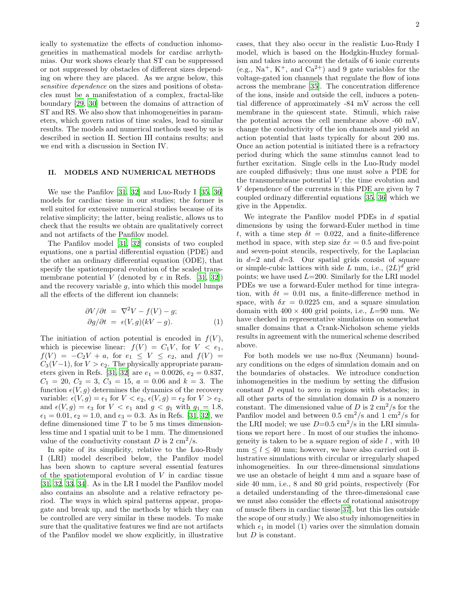ically to systematize the effects of conduction inhomogeneities in mathematical models for cardiac arrhythmias. Our work shows clearly that ST can be suppressed or not suppressed by obstacles of different sizes depending on where they are placed. As we argue below, this sensitive dependence on the sizes and positions of obstacles must be a manifestation of a complex, fractal-like boundary [\[29](#page-8-28), [30\]](#page-8-29) between the domains of attraction of ST and RS. We also show that inhomogeneities in parameters, which govern ratios of time scales, lead to similar results. The models and numerical methods used by us is described in section II. Section III contains results; and we end with a discussion in Section IV.

## II. MODELS AND NUMERICAL METHODS

We use the Panfilov [\[31,](#page-8-30) [32\]](#page-9-0) and Luo-Rudy I [\[35,](#page-9-1) [36](#page-9-2)] models for cardiac tissue in our studies; the former is well suited for extensive numerical studies because of its relative simplicity; the latter, being realistic, allows us to check that the results we obtain are qualitatively correct and not artifacts of the Panfilov model.

The Panfilov model [\[31,](#page-8-30) [32](#page-9-0)] consists of two coupled equations, one a partial differential equation (PDE) and the other an ordinary differential equation (ODE), that specify the spatiotemporal evolution of the scaled transmembrane potential  $V$  (denoted by  $e$  in Refs. [\[31,](#page-8-30) [32\]](#page-9-0)) and the recovery variable  $g$ , into which this model lumps all the effects of the different ion channels:

$$
\frac{\partial V}{\partial t} = \nabla^2 V - f(V) - g; \n\frac{\partial g}{\partial t} = \epsilon(V, g)(kV - g).
$$
\n(1)

The initiation of action potential is encoded in  $f(V)$ , which is piecewise linear:  $f(V) = C_1 V$ , for  $V < e_1$ ,  $f(V) = -C_2V + a$ , for  $e_1 \leq V \leq e_2$ , and  $f(V) =$  $C_3(V-1)$ , for  $V > e_2$ . The physically appropriate param-eters given in Refs. [\[31,](#page-8-30) [32](#page-9-0)] are  $e_1 = 0.0026, e_2 = 0.837,$  $C_1 = 20, C_2 = 3, C_3 = 15, a = 0.06 \text{ and } k = 3.$  The function  $\epsilon(V, g)$  determines the dynamics of the recovery variable:  $\epsilon(V, g) = \epsilon_1$  for  $V < e_2$ ,  $\epsilon(V, g) = \epsilon_2$  for  $V > e_2$ , and  $\epsilon(V, g) = \epsilon_3$  for  $V < e_1$  and  $g < g_1$  with  $g_1 = 1.8$ ,  $\epsilon_1 = 0.01, \epsilon_2 = 1.0, \text{ and } \epsilon_3 = 0.3.$  As in Refs. [\[31,](#page-8-30) [32](#page-9-0)], we define dimensioned time  $T$  to be 5 ms times dimensionless time and 1 spatial unit to be 1 mm. The dimensioned value of the conductivity constant D is  $2 \text{ cm}^2/\text{s}$ .

In spite of its simplicity, relative to the Luo-Rudy I (LRI) model described below, the Panfilov model has been shown to capture several essential features of the spatiotemporal evolution of  $V$  in cardiac tissue [\[31,](#page-8-30) [32,](#page-9-0) [33](#page-9-3), [34\]](#page-9-4). As in the LR I model the Panfilov model also contains an absolute and a relative refractory period. The ways in which spiral patterns appear, propagate and break up, and the methods by which they can be controlled are very similar in these models. To make sure that the qualitative features we find are not artifacts of the Panfilov model we show explicitly, in illustrative

cases, that they also occur in the realistic Luo-Rudy I model, which is based on the Hodgkin-Huxley formalism and takes into account the details of 6 ionic currents (e.g.,  $\text{Na}^+$ , K<sup>+</sup>, and  $\text{Ca}^{2+}$ ) and 9 gate variables for the voltage-gated ion channels that regulate the flow of ions across the membrane [\[35](#page-9-1)]. The concentration difference of the ions, inside and outside the cell, induces a potential difference of approximately -84 mV across the cell membrane in the quiescent state. Stimuli, which raise the potential across the cell membrane above -60 mV, change the conductivity of the ion channels and yield an action potential that lasts typically for about 200 ms. Once an action potential is initiated there is a refractory period during which the same stimulus cannot lead to further excitation. Single cells in the Luo-Rudy model are coupled diffusively; thus one must solve a PDE for the transmembrane potential  $V$ ; the time evolution and V dependence of the currents in this PDE are given by 7 coupled ordinary differential equations [\[35,](#page-9-1) [36](#page-9-2)] which we give in the Appendix.

We integrate the Panfilov model PDEs in  $d$  spatial dimensions by using the forward-Euler method in time t, with a time step  $\delta t = 0.022$ , and a finite-difference method in space, with step size  $\delta x = 0.5$  and five-point and seven-point stencils, respectively, for the Laplacian in  $d=2$  and  $d=3$ . Our spatial grids consist of square or simple-cubic lattices with side L mm, i.e.,  $(2L)^d$  grid points; we have used  $L=200$ . Similarly for the LRI model PDEs we use a forward-Euler method for time integration, with  $\delta t = 0.01$  ms, a finite-difference method in space, with  $\delta x = 0.0225$  cm, and a square simulation domain with  $400 \times 400$  grid points, i.e.,  $L=90$  mm. We have checked in representative simulations on somewhat smaller domains that a Crank-Nicholson scheme yields results in agreement with the numerical scheme described above.

For both models we use no-flux (Neumann) boundary conditions on the edges of simulation domain and on the boundaries of obstacles. We introduce conduction inhomogeneities in the medium by setting the diffusion constant D equal to zero in regions with obstacles; in all other parts of the simulation domain  $D$  is a nonzero constant. The dimensioned value of D is  $2 \text{ cm}^2/\text{s}$  for the Panfilov model and between 0.5 cm<sup>2</sup>/s and 1 cm<sup>2</sup>/s for the LRI model; we use  $D=0.5 \text{ cm}^2/\text{s}$  in the LRI simulations we report here . In most of our studies the inhomogeneity is taken to be a square region of side  $l$ , with 10  $mm \leq l \leq 40$  mm; however, we have also carried out illustrative simulations with circular or irregularly shaped inhomogeneities. In our three-dimensional simulations we use an obstacle of height 4 mm and a square base of side 40 mm, i.e., 8 and 80 grid points, respectively (For a detailed understanding of the three-dimensional case we must also consider the effects of rotational anisotropy of muscle fibers in cardiac tissue[\[37\]](#page-9-5), but this lies outside the scope of our study.) We also study inhomogeneities in which  $\epsilon_1$  in model (1) varies over the simulation domain but  $D$  is constant.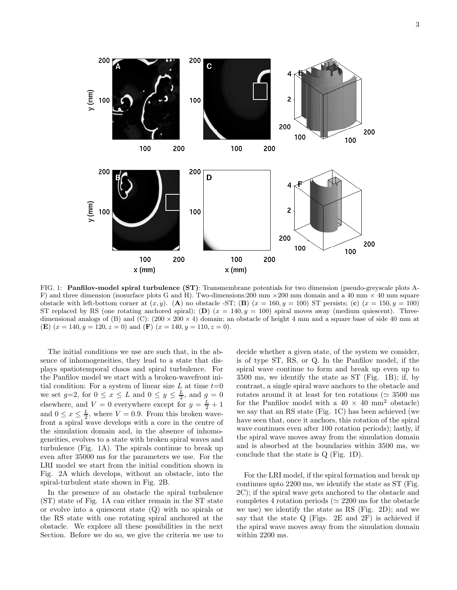

FIG. 1: Panfilov-model spiral turbulence (ST): Transmembrane potentials for two dimension (pseudo-greyscale plots A-F) and three dimension (isosurface plots G and H). Two-dimensions:200 mm  $\times$ 200 mm domain and a 40 mm  $\times$  40 mm square obstacle with left-bottom corner at  $(x, y)$ . (A) no obstacle -ST; (B)  $(x = 160, y = 100)$  ST persists; (c)  $(x = 150, y = 100)$ ST replaced by RS (one rotating anchored spiral); (D)  $(x = 140, y = 100)$  spiral moves away (medium quiescent). Threedimensional analogs of (B) and (C):  $(200 \times 200 \times 4)$  domain; an obstacle of height 4 mm and a square base of side 40 mm at (E)  $(x = 140, y = 120, z = 0)$  and  $(F)$   $(x = 140, y = 110, z = 0)$ .

The initial conditions we use are such that, in the absence of inhomogeneities, they lead to a state that displays spatiotemporal chaos and spiral turbulence. For the Panfilov model we start with a broken-wavefront initial condition: For a system of linear size L at time  $t=0$ we set  $g=2$ , for  $0 \le x \le L$  and  $0 \le y \le \frac{L}{2}$ , and  $g=0$ elsewhere, and  $V = 0$  everywhere except for  $y = \frac{L}{2} + 1$ and  $0 \le x \le \frac{L}{2}$ , where  $V = 0.9$ . From this broken wavefront a spiral wave develops with a core in the centre of the simulation domain and, in the absence of inhomogeneities, evolves to a state with broken spiral waves and turbulence (Fig. 1A). The spirals continue to break up even after 35000 ms for the parameters we use. For the LRI model we start from the initial condition shown in Fig. 2A which develops, without an obstacle, into the spiral-turbulent state shown in Fig. 2B.

In the presence of an obstacle the spiral turbulence (ST) state of Fig. 1A can either remain in the ST state or evolve into a quiescent state (Q) with no spirals or the RS state with one rotating spiral anchored at the obstacle. We explore all these possibilities in the next Section. Before we do so, we give the criteria we use to

decide whether a given state, of the system we consider, is of type ST, RS, or Q. In the Panfilov model, if the spiral wave continue to form and break up even up to 3500 ms, we identify the state as ST (Fig. 1B); if, by contrast, a single spiral wave anchors to the obstacle and rotates around it at least for ten rotations ( $\simeq 3500$  ms for the Panfilov model with a  $40 \times 40$  mm<sup>2</sup> obstacle) we say that an RS state (Fig. 1C) has been achieved (we have seen that, once it anchors, this rotation of the spiral wave continues even after 100 rotation periods); lastly, if the spiral wave moves away from the simulation domain and is absorbed at the boundaries within 3500 ms, we conclude that the state is Q (Fig. 1D).

For the LRI model, if the spiral formation and break up continues upto 2200 ms, we identify the state as ST (Fig. 2C); if the spiral wave gets anchored to the obstacle and completes 4 rotation periods ( $\simeq 2200$  ms for the obstacle we use) we identify the state as RS (Fig. 2D); and we say that the state Q (Figs. 2E and 2F) is achieved if the spiral wave moves away from the simulation domain within 2200 ms.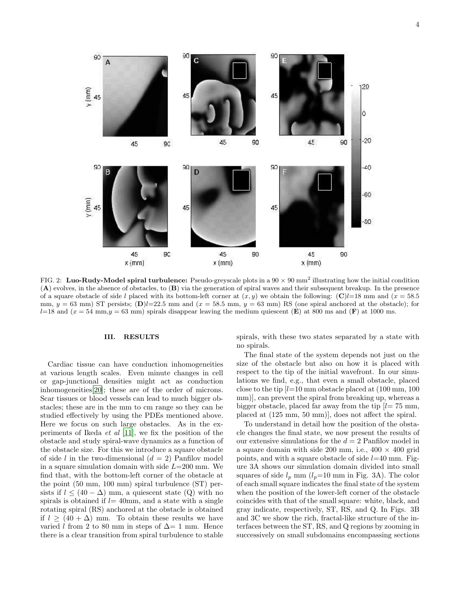4



FIG. 2: Luo-Rudy-Model spiral turbulence: Pseudo-greyscale plots in a  $90 \times 90$  mm<sup>2</sup> illustrating how the initial condition (A) evolves, in the absence of obstacles, to (B) via the generation of spiral waves and their subsequent breakup. In the presence of a square obstacle of side l placed with its bottom-left corner at  $(x, y)$  we obtain the following:  $\mathbb{C}l=18$  mm and  $(x = 58.5$ mm,  $y = 63$  mm) ST persists; (D) $l=22.5$  mm and  $(x = 58.5$  mm,  $y = 63$  mm) RS (one spiral anchored at the obstacle); for  $l=18$  and  $(x = 54 \text{ mm}, y = 63 \text{ mm})$  spirals disappear leaving the medium quiescent (E) at 800 ms and (F) at 1000 ms.

# III. RESULTS

Cardiac tissue can have conduction inhomogeneities at various length scales. Even minute changes in cell or gap-junctional densities might act as conduction inhomogeneities[\[20\]](#page-8-19); these are of the order of microns. Scar tissues or blood vessels can lead to much bigger obstacles; these are in the mm to cm range so they can be studied effectively by using the PDEs mentioned above. Here we focus on such large obstacles. As in the experiments of Ikeda  $et \ al \ [11]$  $et \ al \ [11]$ , we fix the position of the obstacle and study spiral-wave dynamics as a function of the obstacle size. For this we introduce a square obstacle of side l in the two-dimensional  $(d = 2)$  Panfilov model in a square simulation domain with side  $L=200$  mm. We find that, with the bottom-left corner of the obstacle at the point (50 mm, 100 mm) spiral turbulence (ST) persists if  $l \leq (40 - \Delta)$  mm, a quiescent state (Q) with no spirals is obtained if  $l=40$ mm, and a state with a single rotating spiral (RS) anchored at the obstacle is obtained if  $l \geq (40 + \Delta)$  mm. To obtain these results we have varied l from 2 to 80 mm in steps of  $\Delta$  = 1 mm. Hence there is a clear transition from spiral turbulence to stable

spirals, with these two states separated by a state with no spirals.

The final state of the system depends not just on the size of the obstacle but also on how it is placed with respect to the tip of the initial wavefront. In our simulations we find, e.g., that even a small obstacle, placed close to the tip  $l=10$  mm obstacle placed at  $(100 \text{ mm}, 100$ mm)], can prevent the spiral from breaking up, whereas a bigger obstacle, placed far away from the tip  $l= 75$  mm, placed at (125 mm, 50 mm)], does not affect the spiral.

To understand in detail how the position of the obstacle changes the final state, we now present the results of our extensive simulations for the  $d = 2$  Panfilov model in a square domain with side 200 mm, i.e.,  $400 \times 400$  grid points, and with a square obstacle of side  $l=40$  mm. Figure 3A shows our simulation domain divided into small squares of side  $l_p$  mm  $(l_p=10 \text{ mm in Fig. 3A})$ . The color of each small square indicates the final state of the system when the position of the lower-left corner of the obstacle coincides with that of the small square: white, black, and gray indicate, respectively, ST, RS, and Q. In Figs. 3B and 3C we show the rich, fractal-like structure of the interfaces between the ST, RS, and Q regions by zooming in successively on small subdomains encompassing sections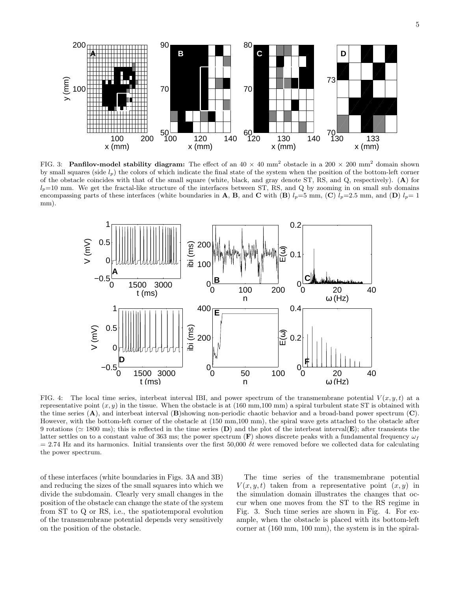

FIG. 3: Panfilov-model stability diagram: The effect of an  $40 \times 40$  mm<sup>2</sup> obstacle in a  $200 \times 200$  mm<sup>2</sup> domain shown by small squares (side  $l_p$ ) the colors of which indicate the final state of the system when the position of the bottom-left corner of the obstacle coincides with that of the small square (white, black, and gray denote ST, RS, and Q, respectively). (A) for  $l_p=10$  mm. We get the fractal-like structure of the interfaces between ST, RS, and Q by zooming in on small sub domains encompassing parts of these interfaces (white boundaries in A, B, and C with (B)  $l_p=5$  mm, (C)  $l_p=2.5$  mm, and (D)  $l_p=1$ mm).



FIG. 4: The local time series, interbeat interval IBI, and power spectrum of the transmembrane potential  $V(x, y, t)$  at a representative point  $(x, y)$  in the tissue. When the obstacle is at  $(160 \text{ mm},100 \text{ mm})$  a spiral turbulent state ST is obtained with the time series  $(A)$ , and interbeat interval  $(B)$ showing non-periodic chaotic behavior and a broad-band power spectrum  $(C)$ . However, with the bottom-left corner of the obstacle at (150 mm,100 mm), the spiral wave gets attached to the obstacle after 9 rotations ( $\simeq$  1800 ms); this is reflected in the time series (D) and the plot of the interval(E); after transients the latter settles on to a constant value of 363 ms; the power spectrum  $(F)$  shows discrete peaks with a fundamental frequency  $\omega_f$  $= 2.74$  Hz and its harmonics. Initial transients over the first 50,000  $\delta t$  were removed before we collected data for calculating the power spectrum.

of these interfaces (white boundaries in Figs. 3A and 3B) and reducing the sizes of the small squares into which we divide the subdomain. Clearly very small changes in the position of the obstacle can change the state of the system from ST to Q or RS, i.e., the spatiotemporal evolution of the transmembrane potential depends very sensitively on the position of the obstacle.

The time series of the transmembrane potential  $V(x, y, t)$  taken from a representative point  $(x, y)$  in the simulation domain illustrates the changes that occur when one moves from the ST to the RS regime in Fig. 3. Such time series are shown in Fig. 4. For example, when the obstacle is placed with its bottom-left corner at (160 mm, 100 mm), the system is in the spiral-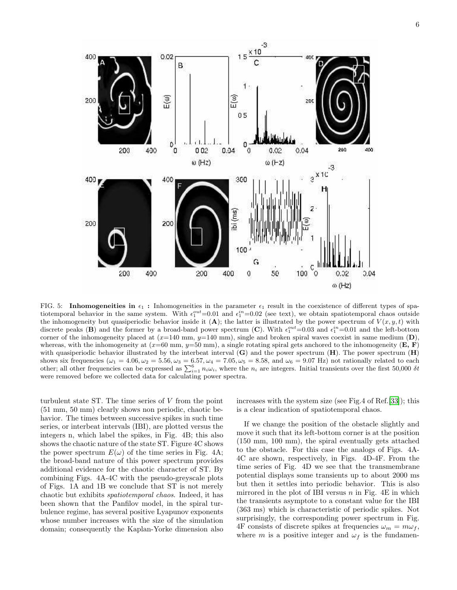

FIG. 5: Inhomogeneities in  $\epsilon_1$ : Inhomogeneities in the parameter  $\epsilon_1$  result in the coexistence of different types of spatiotemporal behavior in the same system. With  $\epsilon_1^{out}=0.01$  and  $\epsilon_1^{in}=0.02$  (see text), we obtain spatiotemporal chaos outside the inhomogeneity but quasiperiodic behavior inside it (A); the latter is illustrated by the power spectrum of  $V(x, y, t)$  with discrete peaks (B) and the former by a broad-band power spectrum (C). With  $\epsilon_1^{out}=0.03$  and  $\epsilon_1^{in}=0.01$  and the left-bottom corner of the inhomogeneity placed at  $(x=140 \text{ mm}, y=140 \text{ mm})$ , single and broken spiral waves coexist in same medium (D), whereas, with the inhomogeneity at  $(x=60 \text{ mm}, y=50 \text{ mm})$ , a single rotating spiral gets anchored to the inhomogeneity  $(E, F)$ with quasiperiodic behavior illustrated by the interbeat interval  $(G)$  and the power spectrum  $(H)$ . The power spectrum  $(H)$ shows six frequencies ( $\omega_1 = 4.06$ ,  $\omega_2 = 5.56$ ,  $\omega_3 = 6.57$ ,  $\omega_4 = 7.05$ ,  $\omega_5 = 8.58$ , and  $\omega_6 = 9.07$  Hz) not rationally related to each other; all other frequencies can be expressed as  $\sum_{i=1}^{6} n_i \omega_i$ , where th were removed before we collected data for calculating power spectra.

turbulent state ST. The time series of V from the point (51 mm, 50 mm) clearly shows non periodic, chaotic behavior. The times between successive spikes in such time series, or interbeat intervals (IBI), are plotted versus the integers n, which label the spikes, in Fig. 4B; this also shows the chaotic nature of the state ST. Figure 4C shows the power spectrum  $E(\omega)$  of the time series in Fig. 4A; the broad-band nature of this power spectrum provides additional evidence for the chaotic character of ST. By combining Figs. 4A-4C with the pseudo-greyscale plots of Figs. 1A and 1B we conclude that ST is not merely chaotic but exhibits spatiotemporal chaos. Indeed, it has been shown that the Panfilov model, in the spiral turbulence regime, has several positive Lyapunov exponents whose number increases with the size of the simulation domain; consequently the Kaplan-Yorke dimension also

increases with the system size (see Fig.4 of Ref.[\[33\]](#page-9-3)); this is a clear indication of spatiotemporal chaos.

If we change the position of the obstacle slightly and move it such that its left-bottom corner is at the position (150 mm, 100 mm), the spiral eventually gets attached to the obstacle. For this case the analogs of Figs. 4A-4C are shown, respectively, in Figs. 4D-4F. From the time series of Fig. 4D we see that the transmembrane potential displays some transients up to about 2000 ms but then it settles into periodic behavior. This is also mirrored in the plot of IBI versus  $n$  in Fig. 4E in which the transients asymptote to a constant value for the IBI (363 ms) which is characteristic of periodic spikes. Not surprisingly, the corresponding power spectrum in Fig. 4F consists of discrete spikes at frequencies  $\omega_m = m \omega_f$ , where m is a positive integer and  $\omega_f$  is the fundamen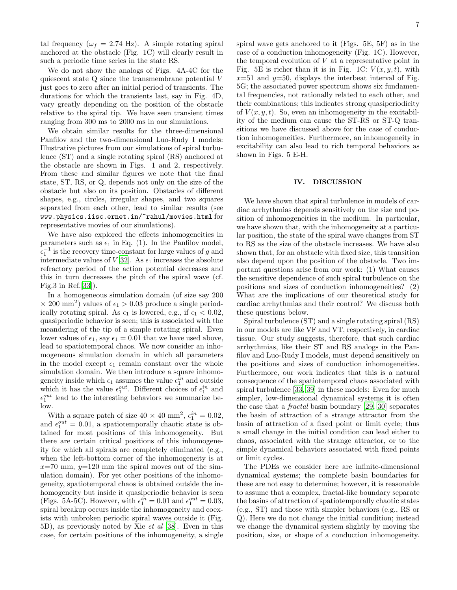tal frequency ( $\omega_f = 2.74$  Hz). A simple rotating spiral anchored at the obstacle (Fig. 1C) will clearly result in such a periodic time series in the state RS.

We do not show the analogs of Figs. 4A-4C for the quiescent state Q since the transmembrane potential V just goes to zero after an initial period of transients. The durations for which the transients last, say in Fig. 4D, vary greatly depending on the position of the obstacle relative to the spiral tip. We have seen transient times ranging from 300 ms to 2000 ms in our simulations.

We obtain similar results for the three-dimensional Panfilov and the two-dimensional Luo-Rudy I models: Illustrative pictures from our simulations of spiral turbulence (ST) and a single rotating spiral (RS) anchored at the obstacle are shown in Figs. 1 and 2, respectively. From these and similar figures we note that the final state, ST, RS, or Q, depends not only on the size of the obstacle but also on its position. Obstacles of different shapes, e.g., circles, irregular shapes, and two squares separated from each other, lead to similar results (see www.physics.iisc.ernet.in/~rahul/movies.html for representative movies of our simulations).

We have also explored the effects inhomogeneities in parameters such as  $\epsilon_1$  in Eq. (1). In the Panfilov model,  $\epsilon_1^{-1}$  is the recovery time-constant for large values of g and intermediate values of  $V[32]$  $V[32]$  $V[32]$ . As  $\epsilon_1$  increases the absolute refractory period of the action potential decreases and this in turn decreases the pitch of the spiral wave (cf. Fig.3 in Ref.[\[33](#page-9-3)]).

In a homogeneous simulation domain (of size say 200  $\times$  200 mm<sup>2</sup>) values of  $\epsilon_1 > 0.03$  produce a single periodically rotating spiral. As  $\epsilon_1$  is lowered, e.g., if  $\epsilon_1 < 0.02$ , quasiperiodic behavior is seen; this is associated with the meandering of the tip of a simple rotating spiral. Even lower values of  $\epsilon_1$ , say  $\epsilon_1 = 0.01$  that we have used above, lead to spatiotemporal chaos. We now consider an inhomogeneous simulation domain in which all parameters in the model except  $\epsilon_1$  remain constant over the whole simulation domain. We then introduce a square inhomogeneity inside which  $\epsilon_1$  assumes the value  $\epsilon_1^{in}$  and outside which it has the value  $\epsilon_1^{out}$ . Different choices of  $\epsilon_1^{in}$  and  $\epsilon_1^{out}$  lead to the interesting behaviors we summarize below.

With a square patch of size  $40 \times 40$  mm<sup>2</sup>,  $\epsilon_1^{in} = 0.02$ , and  $\epsilon_1^{out} = 0.01$ , a spatiotemporally chaotic state is obtained for most positions of this inhomogeneity. But there are certain critical positions of this inhomogeneity for which all spirals are completely eliminated (e.g., when the left-bottom corner of the inhomogeneity is at  $x=70$  mm,  $y=120$  mm the spiral moves out of the simulation domain). For yet other positions of the inhomogeneity, spatiotemporal chaos is obtained outside the inhomogeneity but inside it quasiperiodic behavior is seen (Figs. 5A-5C). However, with  $\epsilon_1^{in} = 0.01$  and  $\epsilon_1^{out} = 0.03$ , spiral breakup occurs inside the inhomogeneity and coexists with unbroken periodic spiral waves outside it (Fig. 5D), as previously noted by Xie et al [\[38](#page-9-6)]. Even in this case, for certain positions of the inhomogeneity, a single spiral wave gets anchored to it (Figs. 5E, 5F) as in the case of a conduction inhomogeneity (Fig. 1C). However, the temporal evolution of  $V$  at a representative point in Fig. 5E is richer than it is in Fig. 1C:  $V(x, y, t)$ , with  $x=51$  and  $y=50$ , displays the interbeat interval of Fig. 5G; the associated power spectrum shows six fundamental frequencies, not rationally related to each other, and their combinations; this indicates strong quasiperiodicity of  $V(x, y, t)$ . So, even an inhomogeneity in the excitability of the medium can cause the ST-RS or ST-Q transitions we have discussed above for the case of conduction inhomogeneities. Furthermore, an inhomogeneity in excitability can also lead to rich temporal behaviors as shown in Figs. 5 E-H.

### IV. DISCUSSION

We have shown that spiral turbulence in models of cardiac arrhythmias depends sensitively on the size and position of inhomogeneities in the medium. In particular, we have shown that, with the inhomogeneity at a particular position, the state of the spiral wave changes from ST to RS as the size of the obstacle increases. We have also shown that, for an obstacle with fixed size, this transition also depend upon the position of the obstacle. Two important questions arise from our work: (1) What causes the sensitive dependence of such spiral turbulence on the positions and sizes of conduction inhomogeneities? (2) What are the implications of our theoretical study for cardiac arrhythmias and their control? We discuss both these questions below.

Spiral turbulence (ST) and a single rotating spiral (RS) in our models are like VF and VT, respectively, in cardiac tissue. Our study suggests, therefore, that such cardiac arrhythmias, like their ST and RS analogs in the Panfilov and Luo-Rudy I models, must depend sensitively on the positions and sizes of conduction inhomogeneities. Furthermore, our work indicates that this is a natural consequence of the spatiotemporal chaos associated with spiral turbulence [\[33](#page-9-3), [39\]](#page-9-7) in these models: Even for much simpler, low-dimensional dynamical systems it is often the case that a fractal basin boundary [\[29,](#page-8-28) [30\]](#page-8-29) separates the basin of attraction of a strange attractor from the basin of attraction of a fixed point or limit cycle; thus a small change in the initial condition can lead either to chaos, associated with the strange attractor, or to the simple dynamical behaviors associated with fixed points or limit cycles.

The PDEs we consider here are infinite-dimensional dynamical systems; the complete basin boundaries for these are not easy to determine; however, it is reasonable to assume that a complex, fractal-like boundary separate the basins of attraction of spatiotemporally chaotic states (e.g., ST) and those with simpler behaviors (e.g., RS or Q). Here we do not change the initial condition; instead we change the dynamical system slightly by moving the position, size, or shape of a conduction inhomogeneity.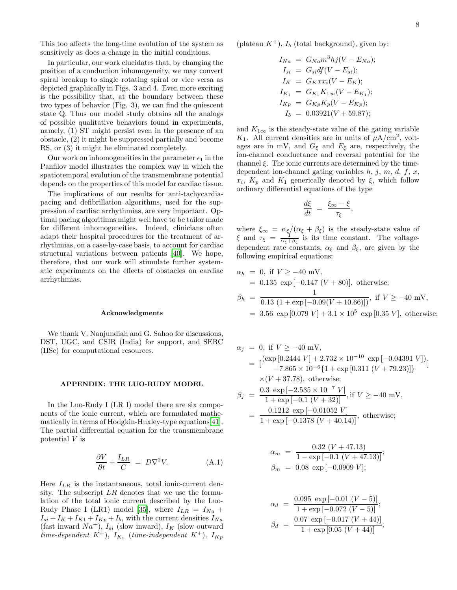This too affects the long-time evolution of the system as sensitively as does a change in the initial conditions.

In particular, our work elucidates that, by changing the position of a conduction inhomogeneity, we may convert spiral breakup to single rotating spiral or vice versa as depicted graphically in Figs. 3 and 4. Even more exciting is the possibility that, at the boundary between these two types of behavior (Fig. 3), we can find the quiescent state Q. Thus our model study obtains all the analogs of possible qualitative behaviors found in experiments, namely, (1) ST might persist even in the presence of an obstacle, (2) it might be suppressed partially and become RS, or (3) it might be eliminated completely.

Our work on inhomogeneities in the parameter  $\epsilon_1$  in the Panfilov model illustrates the complex way in which the spatiotemporal evolution of the transmembrane potential depends on the properties of this model for cardiac tissue.

The implications of our results for anti-tachycardiapacing and defibrillation algorithms, used for the suppression of cardiac arrhythmias, are very important. Optimal pacing algorithms might well have to be tailor made for different inhomogeneities. Indeed, clinicians often adapt their hospital procedures for the treatment of arrhythmias, on a case-by-case basis, to account for cardiac structural variations between patients [\[40\]](#page-9-8). We hope, therefore, that our work will stimulate further systematic experiments on the effects of obstacles on cardiac arrhythmias.

### Acknowledgments

We thank V. Nanjundiah and G. Sahoo for discussions, DST, UGC, and CSIR (India) for support, and SERC (IISc) for computational resources.

# APPENDIX: THE LUO-RUDY MODEL

In the Luo-Rudy I (LR I) model there are six components of the ionic current, which are formulated mathematically in terms of Hodgkin-Huxley-type equations[\[41\]](#page-9-9). The partial differential equation for the transmembrane potential V is

$$
\frac{\partial V}{\partial t} + \frac{I_{LR}}{C} = D\nabla^2 V.
$$
 (A.1)

Here  $I_{LR}$  is the instantaneous, total ionic-current density. The subscript  $LR$  denotes that we use the formulation of the total ionic current described by the Luo-Rudy Phase I (LR1) model [\[35](#page-9-1)], where  $I_{LR} = I_{Na} +$  $I_{si} + I_K + I_{K1} + I_{Kp} + I_b$ , with the current densities  $I_{Na}$ (fast inward  $Na^+$ ),  $I_{si}$  (slow inward),  $I_K$  (slow outward time-dependent  $K^+$ ),  $I_{K_1}$  (time-independent  $K^+$ ),  $I_{Kp}$ 

(plateau  $K^+$ ),  $I_b$  (total background), given by:

$$
I_{Na} = G_{Na}m^{3}hj(V - E_{Na});
$$
  
\n
$$
I_{si} = G_{si}df(V - E_{si});
$$
  
\n
$$
I_{K} = G_{K}xx_{i}(V - E_{K});
$$
  
\n
$$
I_{K_{1}} = G_{K_{1}}K_{1\infty}(V - E_{K_{1}});
$$
  
\n
$$
I_{K_{p}} = G_{Kp}K_{p}(V - E_{Kp});
$$
  
\n
$$
I_{b} = 0.03921(V + 59.87);
$$

and  $K_{1\infty}$  is the steady-state value of the gating variable  $K_1$ . All current densities are in units of  $\mu A/\text{cm}^2$ , voltages are in mV, and  $G_{\xi}$  and  $E_{\xi}$  are, respectively, the ion-channel conductance and reversal potential for the channel  $\xi$ . The ionic currents are determined by the timedependent ion-channel gating variables  $h, j, m, d, f, x$ ,  $x_i$ ,  $K_p$  and  $K_1$  generically denoted by  $\xi$ , which follow ordinary differential equations of the type

$$
\frac{d\xi}{dt} = \frac{\xi_{\infty} - \xi}{\tau_{\xi}},
$$

where  $\xi_{\infty} = \alpha_{\xi}/(\alpha_{\xi} + \beta_{\xi})$  is the steady-state value of  $\xi$  and  $\tau_{\xi} = \frac{1}{\alpha_{\xi} + \beta_{\xi}}$  is its time constant. The voltagedependent rate constants,  $\alpha_{\xi}$  and  $\beta_{\xi}$ , are given by the following empirical equations:

$$
\alpha_h = 0, \text{ if } V \ge -40 \text{ mV},
$$
  
= 0.135 exp [-0.147 (V + 80)], otherwise;  

$$
\beta_h = \frac{1}{0.13 (1 + \exp[-0.09(V + 10.66)])}, \text{ if } V \ge -40 \text{ mV},
$$

 $= 3.56 \exp[0.079 V] + 3.1 \times 10^5 \exp[0.35 V]$ , otherwise;

$$
\alpha_j = 0, \text{ if } V \ge -40 \text{ mV},
$$
\n
$$
= \left[ \frac{(\exp\left[0.2444 \, V\right] + 2.732 \times 10^{-10} \, \exp\left[-0.04391 \, V\right])}{-7.865 \times 10^{-6} \{1 + \exp\left[0.311 \, (V + 79.23)\right]\}} \right]
$$
\n
$$
\times (V + 37.78), \text{ otherwise;}
$$
\n
$$
\beta_j = \frac{0.3 \, \exp\left[-2.535 \times 10^{-7} \, V\right]}{1 + \exp\left[-0.1 \, (V + 32)\right]}, \text{ if } V \ge -40 \, \text{mV},
$$
\n
$$
= \frac{0.1212 \, \exp\left[-0.01052 \, V\right]}{1 + \exp\left[-0.1378 \, (V + 40.14)\right]}, \text{ otherwise;}
$$

$$
\alpha_m = \frac{0.32 (V + 47.13)}{1 - \exp[-0.1 (V + 47.13)]};
$$
  
\n
$$
\beta_m = 0.08 \exp[-0.0909 V];
$$

$$
\alpha_d = \frac{0.095 \exp[-0.01 (V - 5)]}{1 + \exp[-0.072 (V - 5)]};
$$
  
\n
$$
\beta_d = \frac{0.07 \exp[-0.017 (V + 44)]}{1 + \exp[0.05 (V + 44)]};
$$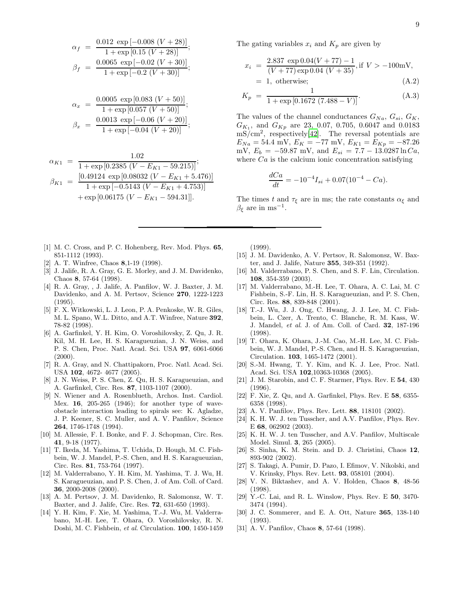$$
\alpha_f = \frac{0.012 \exp[-0.008 (V + 28)]}{1 + \exp[0.15 (V + 28)]};
$$
  

$$
\beta_f = \frac{0.0065 \exp[-0.02 (V + 30)]}{1 + \exp[-0.2 (V + 30)]};
$$

$$
\alpha_x = \frac{0.0005 \exp [0.083 (V + 50)]}{1 + \exp [0.057 (V + 50)]};
$$
  

$$
\beta_x = \frac{0.0013 \exp [-0.06 (V + 20)]}{1 + \exp [-0.04 (V + 20)]};
$$

$$
\alpha_{K1} = \frac{1.02}{1 + \exp\left[0.2385 \left(V - E_{K1} - 59.215\right)\right]};
$$
\n
$$
\beta_{K1} = \frac{\left[0.49124 \exp\left[0.08032 \left(V - E_{K1} + 5.476\right)\right]\right]}{1 + \exp\left[-0.5143 \left(V - E_{K1} + 4.753\right)\right]} + \exp\left[0.06175 \left(V - E_{K1} - 594.31\right]\right].
$$

- <span id="page-8-0"></span>[1] M. C. Cross, and P. C. Hohenberg, Rev. Mod. Phys. 65, 851-1112 (1993).
- <span id="page-8-1"></span>[2] A. T. Winfree, Chaos 8,1-19 (1998).
- <span id="page-8-2"></span>[3] J. Jalife, R. A. Gray, G. E. Morley, and J. M. Davidenko, Chaos 8, 57-64 (1998).
- <span id="page-8-3"></span>[4] R. A. Gray, , J. Jalife, A. Panfilov, W. J. Baxter, J. M. Davidenko, and A. M. Pertsov, Science 270, 1222-1223 (1995).
- <span id="page-8-4"></span>[5] F. X. Witkowski, L. J. Leon, P. A. Penkoske, W. R. Giles, M. L. Spano, W.L. Ditto, and A.T. Winfree, Nature 392, 78-82 (1998).
- <span id="page-8-5"></span>[6] A. Garfinkel, Y. H. Kim, O. Voroshilovsky, Z. Qu, J. R. Kil, M. H. Lee, H. S. Karagueuzian, J. N. Weiss, and P. S. Chen, Proc. Natl. Acad. Sci. USA 97, 6061-6066  $(2000).$
- <span id="page-8-6"></span>[7] R. A. Gray, and N. Chattipakorn, Proc. Natl. Acad. Sci. USA 102, 4672- 4677 (2005).
- <span id="page-8-7"></span>[8] J. N. Weiss, P. S. Chen, Z. Qu, H. S. Karagueuzian, and A. Garfinkel, Circ. Res. 87, 1103-1107 (2000).
- <span id="page-8-8"></span>[9] N. Wiener and A. Rosenblueth, Archos. Inst. Cardiol. Mex. 16, 205-265 (1946); for another type of waveobstacle interaction leading to spirals see: K. Agladze, J. P. Keener, S. C. Muller, and A. V. Panfilov, Science 264, 1746-1748 (1994).
- <span id="page-8-9"></span>[10] M. Allessie, F. I. Bonke, and F. J. Schopman, Circ. Res. 41, 9-18 (1977).
- <span id="page-8-10"></span>[11] T. Ikeda, M. Yashima, T. Uchida, D. Hough, M. C. Fishbein, W. J. Mandel, P.-S. Chen, and H. S. Karagueuzian, Circ. Res. 81, 753-764 (1997).
- <span id="page-8-11"></span>[12] M. Valderrabano, Y. H. Kim, M. Yashima, T. J. Wu, H. S. Karagueuzian, and P. S. Chen, J. of Am. Coll. of Card. 36, 2000-2008 (2000).
- <span id="page-8-12"></span>[13] A. M. Pertsov, J. M. Davidenko, R. Salomonsz, W. T. Baxter, and J. Jalife, Circ. Res. 72, 631-650 (1993).
- <span id="page-8-13"></span>[14] Y. H. Kim, F. Xie, M. Yashima, T.-J. Wu, M. Valderrabano, M.-H. Lee, T. Ohara, O. Voroshilovsky, R. N. Doshi, M. C. Fishbein, et al. Circulation. 100, 1450-1459

The gating variables  $x_i$  and  $K_p$  are given by

$$
x_i = \frac{2.837 \exp 0.04(V + 77) - 1}{(V + 77) \exp 0.04 (V + 35)}, \text{if } V > -100 \text{mV},
$$
  
= 1, otherwise; (A.2)

$$
K_p = \frac{1}{1 + \exp\left[0.1672 \left(7.488 - V\right)\right]}.\tag{A.3}
$$

The values of the channel conductances  $G_{Na}$ ,  $G_{si}$ ,  $G_K$ ,  $G_{K_1}$ , and  $G_{Kp}$  are 23, 0.07, 0.705, 0.6047 and 0.0183 mS/cm<sup>2</sup> , respectively[\[42](#page-9-10)]. The reversal potentials are  $E_{Na} = 54.4$  mV,  $E_K = -77$  mV,  $E_{K1} = E_{Kp} = -87.26$ mV,  $E_b = -59.87$  mV, and  $E_{si} = 7.7 - 13.0287 \ln Ca$ , where  $Ca$  is the calcium ionic concentration satisfying

$$
\frac{dCa}{dt} = -10^{-4}I_{si} + 0.07(10^{-4} - Ca).
$$

The times t and  $\tau_{\xi}$  are in ms; the rate constants  $\alpha_{\xi}$  and  $\beta_{\xi}$  are in ms<sup>-1</sup>.

(1999).

- <span id="page-8-14"></span>[15] J. M. Davidenko, A. V. Pertsov, R. Salomonsz, W. Baxter, and J. Jalife, Nature 355, 349-351 (1992).
- <span id="page-8-15"></span>[16] M. Valderrabano, P. S. Chen, and S. F. Lin, Circulation. 108, 354-359 (2003).
- <span id="page-8-16"></span>[17] M. Valderrabano, M.-H. Lee, T. Ohara, A. C. Lai, M. C Fishbein, S.-F. Lin, H. S. Karagueuzian, and P. S. Chen, Circ. Res. 88, 839-848 (2001).
- <span id="page-8-17"></span>[18] T.-J. Wu, J. J. Ong, C. Hwang, J. J. Lee, M. C. Fishbein, L. Czer, A. Trento, C. Blanche, R. M. Kass, W. J. Mandel, et al. J. of Am. Coll. of Card. 32, 187-196 (1998).
- <span id="page-8-18"></span>[19] T. Ohara, K. Ohara, J.-M. Cao, M.-H. Lee, M. C. Fishbein, W. J. Mandel, P.-S. Chen, and H. S. Karagueuzian, Circulation. 103, 1465-1472 (2001).
- <span id="page-8-19"></span>[20] S.-M. Hwang, T. Y. Kim, and K. J. Lee, Proc. Natl. Acad. Sci. USA 102,10363-10368 (2005).
- <span id="page-8-20"></span>[21] J. M. Starobin, and C. F. Starmer, Phys. Rev. E 54, 430  $(1996)$ .
- <span id="page-8-21"></span>[22] F. Xie, Z. Qu, and A. Garfinkel, Phys. Rev. E 58, 6355- 6358 (1998).
- <span id="page-8-22"></span>[23] A. V. Panfilov, Phys. Rev. Lett. **88**, 118101 (2002).
- <span id="page-8-23"></span>[24] K. H. W. J. ten Tusscher, and A.V. Panfilov, Phys. Rev. E 68, 062902 (2003).
- <span id="page-8-24"></span>[25] K. H. W. J. ten Tusscher, and A.V. Panfilov, Multiscale Model. Simul. 3, 265 (2005).
- <span id="page-8-25"></span>[26] S. Sinha, K. M. Stein. and D. J. Christini, Chaos 12, 893-902 (2002).
- <span id="page-8-26"></span>[27] S. Takagi, A. Pumir, D. Pazo, I. Efimov, V. Nikolski, and V. Krinsky, Phys. Rev. Lett. 93, 058101 (2004).
- <span id="page-8-27"></span>[28] V. N. Biktashev, and A. V. Holden, Chaos 8, 48-56 (1998).
- <span id="page-8-28"></span>[29] Y.-C. Lai, and R. L. Winslow, Phys. Rev. E 50, 3470- 3474 (1994).
- <span id="page-8-29"></span>[30] J. C. Sommerer, and E. A. Ott, Nature 365, 138-140 (1993).
- <span id="page-8-30"></span>[31] A. V. Panfilov, Chaos 8, 57-64 (1998).